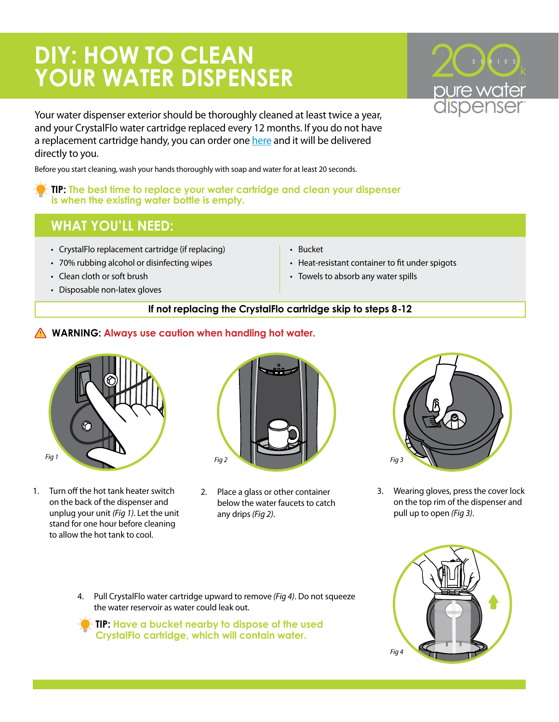# **DIY: HOW TO CLEAN YOUR WATER DISPENSER**

Your water dispenser exterior should be thoroughly cleaned at least twice a year, and your CrystalFlo water cartridge replaced every 12 months. If you do not have a replacement cartridge handy, you can order one here and it will be delivered directly to you.

Before you start cleaning, wash your hands thoroughly with soap and water for at least 20 seconds.

#### **TIP: The best time to replace your water cartridge and clean your dispenser is when the existing water bottle is empty.**

## **WHAT YOU'LL NEED:**

- CrystalFlo replacement cartridge (if replacing)
- 70% rubbing alcohol or disinfecting wipes
- Clean cloth or soft brush
- Disposable non-latex gloves
- Bucket
- Heat-resistant container to fit under spigots
- Towels to absorb any water spills

### **If not replacing the CrystalFlo cartridge skip to steps 8-12**

## **WARNING: Always use caution when handling hot water.**



1. Turn off the hot tank heater switch on the back of the dispenser and unplug your unit *(Fig 1)*. Let the unit stand for one hour before cleaning to allow the hot tank to cool.



2. Place a glass or other container below the water faucets to catch any drips *(Fig 2)*.



3. Wearing gloves, press the cover lock on the top rim of the dispenser and pull up to open *(Fig 3)*.



**TIP: Have a bucket nearby to dispose of the used CrystalFlo cartridge, which will contain water.**